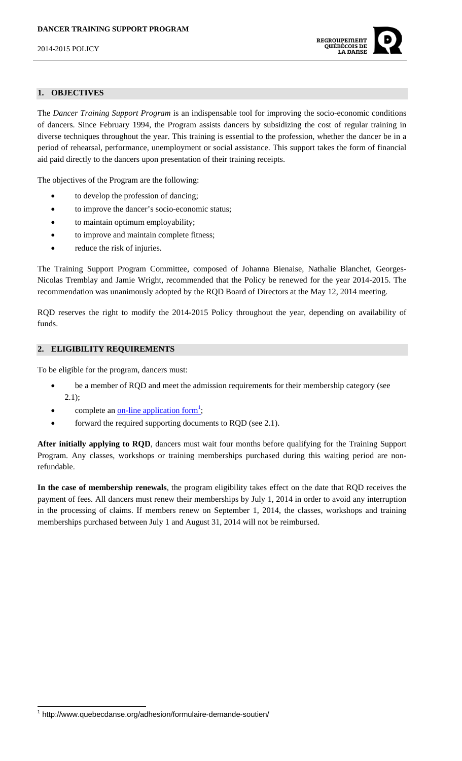

# **1. OBJECTIVES**

The *Dancer Training Support Program* is an indispensable tool for improving the socio-economic conditions of dancers. Since February 1994, the Program assists dancers by subsidizing the cost of regular training in diverse techniques throughout the year. This training is essential to the profession, whether the dancer be in a period of rehearsal, performance, unemployment or social assistance. This support takes the form of financial aid paid directly to the dancers upon presentation of their training receipts.

The objectives of the Program are the following:

- to develop the profession of dancing;
- to improve the dancer's socio-economic status;
- to maintain optimum employability;
- to improve and maintain complete fitness;
- reduce the risk of injuries.

The Training Support Program Committee, composed of Johanna Bienaise, Nathalie Blanchet, Georges-Nicolas Tremblay and Jamie Wright, recommended that the Policy be renewed for the year 2014-2015. The recommendation was unanimously adopted by the RQD Board of Directors at the May 12, 2014 meeting.

RQD reserves the right to modify the 2014-2015 Policy throughout the year, depending on availability of funds.

## **2. ELIGIBILITY REQUIREMENTS**

To be eligible for the program, dancers must:

- be a member of RQD and meet the admission requirements for their membership category (see 2.1);
- complete an <u>on-line application form<sup>1</sup></u>;
- forward the required supporting documents to RQD (see 2.1).

**After initially applying to RQD**, dancers must wait four months before qualifying for the Training Support Program. Any classes, workshops or training memberships purchased during this waiting period are nonrefundable.

**In the case of membership renewals**, the program eligibility takes effect on the date that RQD receives the payment of fees. All dancers must renew their memberships by July 1, 2014 in order to avoid any interruption in the processing of claims. If members renew on September 1, 2014, the classes, workshops and training memberships purchased between July 1 and August 31, 2014 will not be reimbursed.

 1 http://www.quebecdanse.org/adhesion/formulaire-demande-soutien/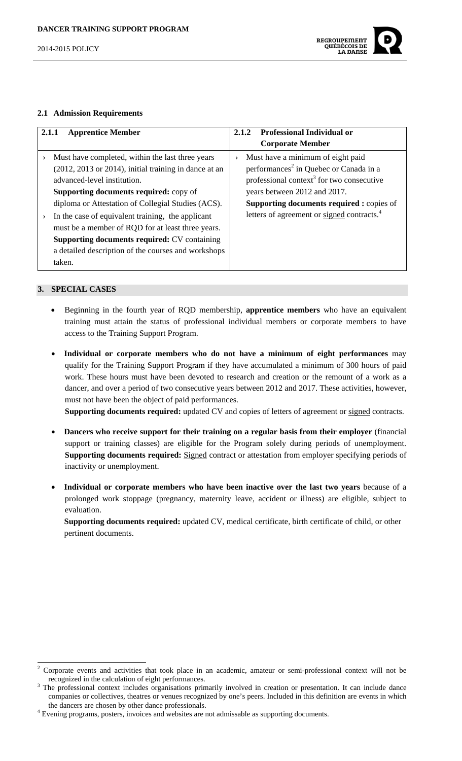

#### **2.1 Admission Requirements**

| 2.1.1<br><b>Apprentice Member</b>                                                                                                                                                                                                                                                                                                                                                                                                                                                                                   | <b>Professional Individual or</b><br>2.1.2                                                                                                                                                                                                                                                                      |
|---------------------------------------------------------------------------------------------------------------------------------------------------------------------------------------------------------------------------------------------------------------------------------------------------------------------------------------------------------------------------------------------------------------------------------------------------------------------------------------------------------------------|-----------------------------------------------------------------------------------------------------------------------------------------------------------------------------------------------------------------------------------------------------------------------------------------------------------------|
|                                                                                                                                                                                                                                                                                                                                                                                                                                                                                                                     | <b>Corporate Member</b>                                                                                                                                                                                                                                                                                         |
| Must have completed, within the last three years<br>$\rightarrow$<br>(2012, 2013 or 2014), initial training in dance at an<br>advanced-level institution.<br><b>Supporting documents required:</b> copy of<br>diploma or Attestation of Collegial Studies (ACS).<br>In the case of equivalent training, the applicant<br>$\rightarrow$<br>must be a member of RQD for at least three years.<br><b>Supporting documents required: CV containing</b><br>a detailed description of the courses and workshops<br>taken. | Must have a minimum of eight paid<br>$\rightarrow$<br>performances <sup>2</sup> in Quebec or Canada in a<br>professional context <sup>3</sup> for two consecutive<br>years between 2012 and 2017.<br><b>Supporting documents required : copies of</b><br>letters of agreement or signed contracts. <sup>4</sup> |

## **3. SPECIAL CASES**

- Beginning in the fourth year of RQD membership, **apprentice members** who have an equivalent training must attain the status of professional individual members or corporate members to have access to the Training Support Program.
- **Individual or corporate members who do not have a minimum of eight performances** may qualify for the Training Support Program if they have accumulated a minimum of 300 hours of paid work. These hours must have been devoted to research and creation or the remount of a work as a dancer, and over a period of two consecutive years between 2012 and 2017. These activities, however, must not have been the object of paid performances.

**Supporting documents required:** updated CV and copies of letters of agreement or signed contracts.

- **Dancers who receive support for their training on a regular basis from their employer** (financial support or training classes) are eligible for the Program solely during periods of unemployment. Supporting documents required: **Signed** contract or attestation from employer specifying periods of inactivity or unemployment.
- **Individual or corporate members who have been inactive over the last two years** because of a prolonged work stoppage (pregnancy, maternity leave, accident or illness) are eligible, subject to evaluation.

**Supporting documents required:** updated CV, medical certificate, birth certificate of child, or other pertinent documents.

<sup>2</sup> Corporate events and activities that took place in an academic, amateur or semi-professional context will not be recognized in the calculation of eight performances.

<sup>&</sup>lt;sup>3</sup> The professional context includes organisations primarily involved in creation or presentation. It can include dance companies or collectives, theatres or venues recognized by one's peers. Included in this definition are events in which the dancers are chosen by other dance professionals.

<sup>&</sup>lt;sup>4</sup> Evening programs, posters, invoices and websites are not admissable as supporting documents.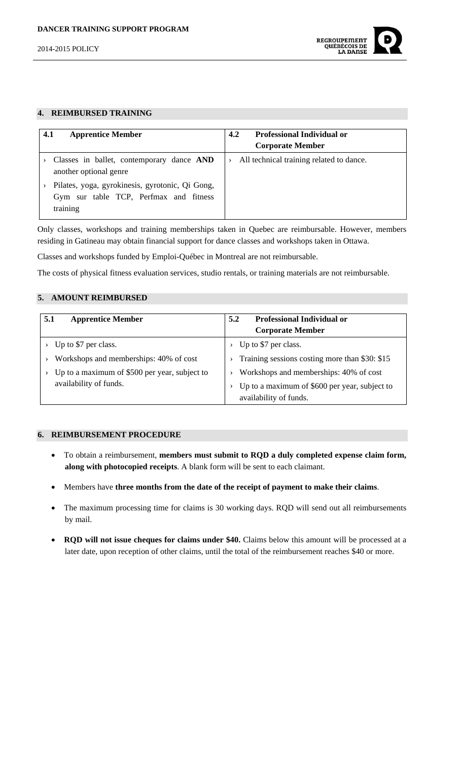

## **4. REIMBURSED TRAINING**

| 4.1<br><b>Apprentice Member</b>                                                                       | <b>Professional Individual or</b><br>4.2<br><b>Corporate Member</b> |
|-------------------------------------------------------------------------------------------------------|---------------------------------------------------------------------|
|                                                                                                       |                                                                     |
| Classes in ballet, contemporary dance AND<br>another optional genre                                   | All technical training related to dance.                            |
| Pilates, yoga, gyrokinesis, gyrotonic, Qi Gong,<br>Gym sur table TCP, Perfmax and fitness<br>training |                                                                     |

Only classes, workshops and training memberships taken in Quebec are reimbursable. However, members residing in Gatineau may obtain financial support for dance classes and workshops taken in Ottawa.

Classes and workshops funded by Emploi-Québec in Montreal are not reimbursable.

The costs of physical fitness evaluation services, studio rentals, or training materials are not reimbursable.

# **5. AMOUNT REIMBURSED**

| <b>Apprentice Member</b><br>5.1               | Professional Individual or<br>5.2<br><b>Corporate Member</b> |
|-----------------------------------------------|--------------------------------------------------------------|
|                                               |                                                              |
| Up to \$7 per class.                          | Up to \$7 per class.                                         |
| Workshops and memberships: 40% of cost        | Training sessions costing more than \$30: \$15               |
| Up to a maximum of \$500 per year, subject to | Workshops and memberships: 40% of cost                       |
| availability of funds.                        | Up to a maximum of \$600 per year, subject to                |
|                                               | availability of funds.                                       |

# **6. REIMBURSEMENT PROCEDURE**

- To obtain a reimbursement, **members must submit to RQD a duly completed expense claim form, along with photocopied receipts**. A blank form will be sent to each claimant.
- Members have **three months from the date of the receipt of payment to make their claims**.
- The maximum processing time for claims is 30 working days. RQD will send out all reimbursements by mail.
- **RQD will not issue cheques for claims under \$40.** Claims below this amount will be processed at a later date, upon reception of other claims, until the total of the reimbursement reaches \$40 or more.